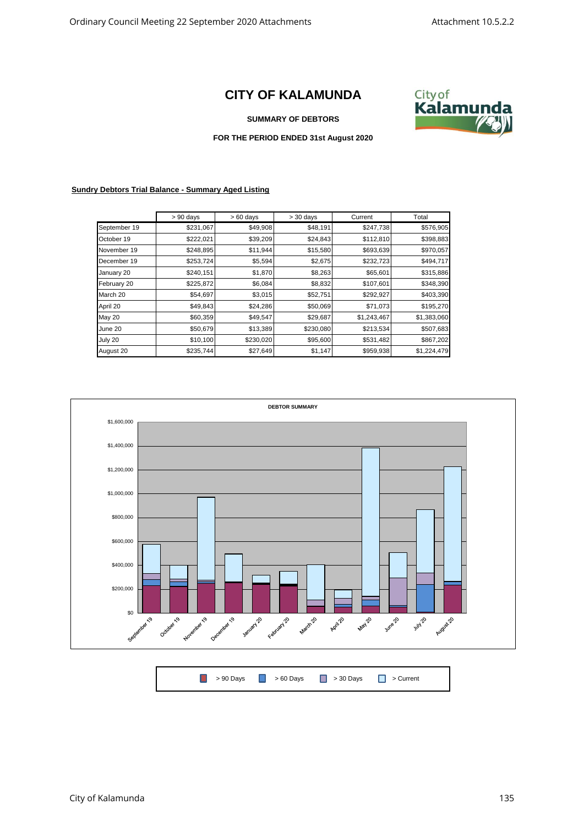## **CITY OF KALAMUNDA**



## **SUMMARY OF DEBTORS**

## **FOR THE PERIOD ENDED 31st August 2020**

## **Sundry Debtors Trial Balance - Summary Aged Listing**

|              | $> 90$ days | $>60$ days | $> 30$ days | Current     | Total       |
|--------------|-------------|------------|-------------|-------------|-------------|
| September 19 | \$231,067   | \$49,908   | \$48,191    | \$247,738   | \$576,905   |
| October 19   | \$222,021   | \$39,209   | \$24,843    | \$112,810   | \$398,883   |
| November 19  | \$248,895   | \$11,944   | \$15,580    | \$693,639   | \$970,057   |
| December 19  | \$253,724   | \$5,594    | \$2,675     | \$232,723   | \$494,717   |
| January 20   | \$240,151   | \$1,870    | \$8,263     | \$65,601    | \$315,886   |
| February 20  | \$225,872   | \$6,084    | \$8,832     | \$107,601   | \$348,390   |
| March 20     | \$54,697    | \$3,015    | \$52,751    | \$292,927   | \$403,390   |
| April 20     | \$49,843    | \$24,286   | \$50,069    | \$71,073    | \$195,270   |
| May 20       | \$60,359    | \$49,547   | \$29,687    | \$1,243,467 | \$1,383,060 |
| June 20      | \$50,679    | \$13,389   | \$230,080   | \$213,534   | \$507,683   |
| July 20      | \$10,100    | \$230,020  | \$95,600    | \$531,482   | \$867,202   |
| August 20    | \$235,744   | \$27,649   | \$1,147     | \$959,938   | \$1,224,479 |



|  | ■ > 90 Days ■ > 60 Days ■ > 30 Days ■ > Current |  |
|--|-------------------------------------------------|--|
|  |                                                 |  |